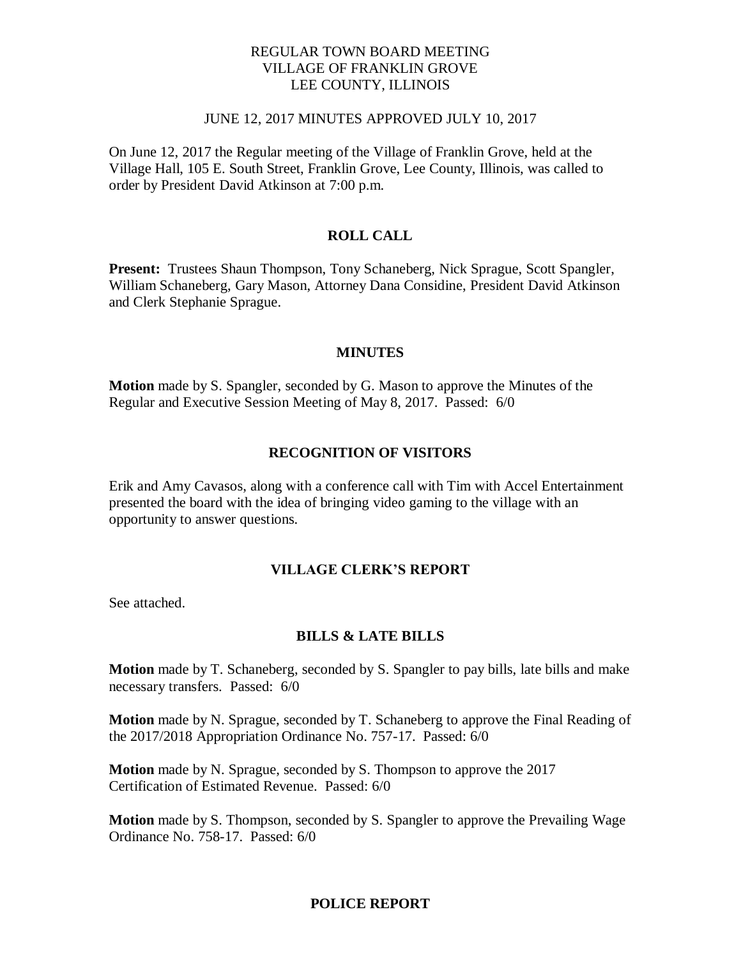### REGULAR TOWN BOARD MEETING VILLAGE OF FRANKLIN GROVE LEE COUNTY, ILLINOIS

#### JUNE 12, 2017 MINUTES APPROVED JULY 10, 2017

On June 12, 2017 the Regular meeting of the Village of Franklin Grove, held at the Village Hall, 105 E. South Street, Franklin Grove, Lee County, Illinois, was called to order by President David Atkinson at 7:00 p.m.

## **ROLL CALL**

**Present:** Trustees Shaun Thompson, Tony Schaneberg, Nick Sprague, Scott Spangler, William Schaneberg, Gary Mason, Attorney Dana Considine, President David Atkinson and Clerk Stephanie Sprague.

#### **MINUTES**

**Motion** made by S. Spangler, seconded by G. Mason to approve the Minutes of the Regular and Executive Session Meeting of May 8, 2017. Passed: 6/0

## **RECOGNITION OF VISITORS**

Erik and Amy Cavasos, along with a conference call with Tim with Accel Entertainment presented the board with the idea of bringing video gaming to the village with an opportunity to answer questions.

#### **VILLAGE CLERK'S REPORT**

See attached.

#### **BILLS & LATE BILLS**

**Motion** made by T. Schaneberg, seconded by S. Spangler to pay bills, late bills and make necessary transfers. Passed: 6/0

**Motion** made by N. Sprague, seconded by T. Schaneberg to approve the Final Reading of the 2017/2018 Appropriation Ordinance No. 757-17. Passed: 6/0

**Motion** made by N. Sprague, seconded by S. Thompson to approve the 2017 Certification of Estimated Revenue. Passed: 6/0

**Motion** made by S. Thompson, seconded by S. Spangler to approve the Prevailing Wage Ordinance No. 758-17. Passed: 6/0

#### **POLICE REPORT**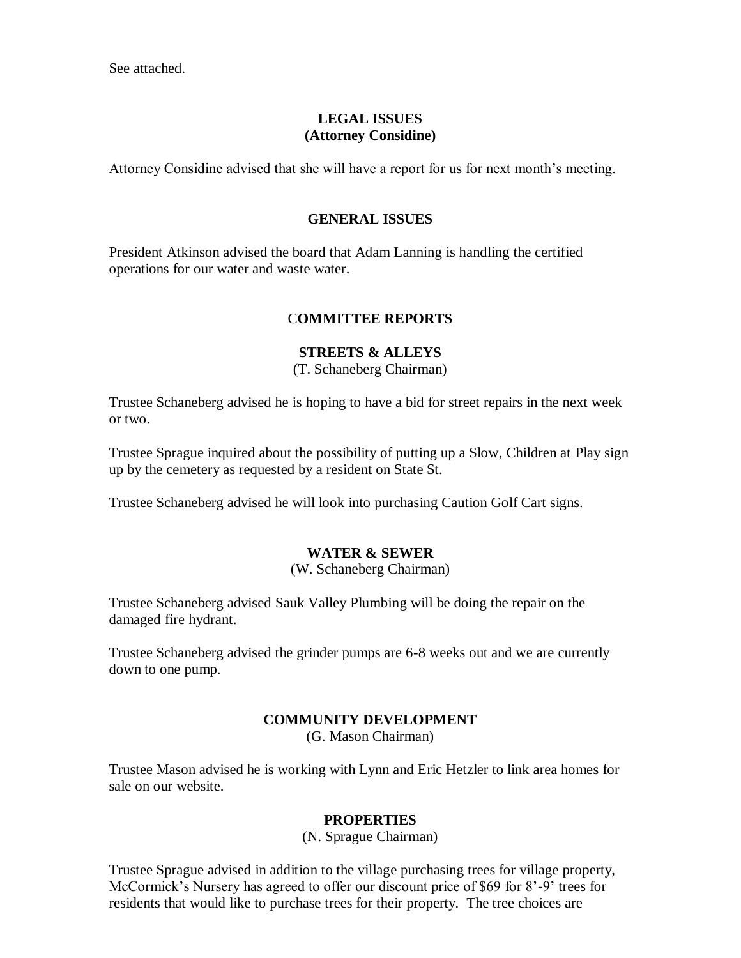See attached.

# **LEGAL ISSUES (Attorney Considine)**

Attorney Considine advised that she will have a report for us for next month's meeting.

## **GENERAL ISSUES**

President Atkinson advised the board that Adam Lanning is handling the certified operations for our water and waste water.

## C**OMMITTEE REPORTS**

# **STREETS & ALLEYS**

(T. Schaneberg Chairman)

Trustee Schaneberg advised he is hoping to have a bid for street repairs in the next week or two.

Trustee Sprague inquired about the possibility of putting up a Slow, Children at Play sign up by the cemetery as requested by a resident on State St.

Trustee Schaneberg advised he will look into purchasing Caution Golf Cart signs.

# **WATER & SEWER**

(W. Schaneberg Chairman)

Trustee Schaneberg advised Sauk Valley Plumbing will be doing the repair on the damaged fire hydrant.

Trustee Schaneberg advised the grinder pumps are 6-8 weeks out and we are currently down to one pump.

# **COMMUNITY DEVELOPMENT**

(G. Mason Chairman)

Trustee Mason advised he is working with Lynn and Eric Hetzler to link area homes for sale on our website.

## **PROPERTIES**

(N. Sprague Chairman)

Trustee Sprague advised in addition to the village purchasing trees for village property, McCormick's Nursery has agreed to offer our discount price of \$69 for 8'-9' trees for residents that would like to purchase trees for their property. The tree choices are